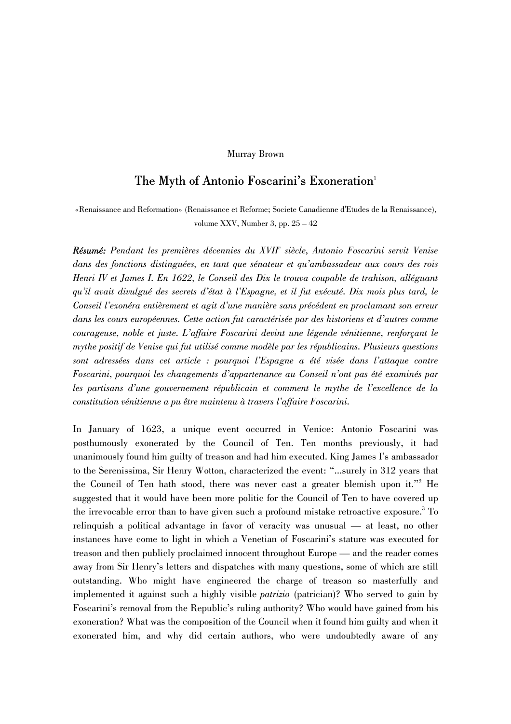## Murray Brown

# The Myth of Antonio Foscarini's Exoneration<sup>1</sup>

«Renaissance and Reformation» (Renaissance et Reforme; Societe Canadienne d'Etudes de la Renaissance), volume XXV, Number 3, pp. 25 – 42

Résumé: Pendant les premières décennies du XVII<sup>e</sup> siècle, Antonio Foscarini servit Venise *dans des fonctions distinguées, en tant que sénateur et qu'ambassadeur aux cours des rois Henri IV et James I. En 1622, le Conseil des Dix le trouva coupable de trahison, alléguant qu'il avait divulgué des secrets d'état à l'Espagne, et il fut exécuté. Dix mois plus tard, le Conseil l'exonéra entièrement et agit d'une manière sans précédent en proclamant son erreur dans les cours européennes. Cette action fut caractérisée par des historiens et d'autres comme courageuse, noble et juste. L'affaire Foscarini devint une légende vénitienne, renforçant le mythe positif de Venise qui fut utilisé comme modèle par les républicains. Plusieurs questions sont adressées dans cet article : pourquoi l'Espagne a été visée dans l'attaque contre Foscarini, pourquoi les changements d'appartenance au Conseil n'ont pas été examinés par les partisans d'une gouvernement républicain et comment le mythe de l'excellence de la constitution vénitienne a pu être maintenu à travers l'affaire Foscarini.* 

In January of 1623, a unique event occurred in Venice: Antonio Foscarini was posthumously exonerated by the Council of Ten. Ten months previously, it had unanimously found him guilty of treason and had him executed. King James I's ambassador to the Serenissima, Sir Henry Wotton, characterized the event: "...surely in 312 years that the Council of Ten hath stood, there was never cast a greater blemish upon it."<sup>2</sup> He suggested that it would have been more politic for the Council of Ten to have covered up the irrevocable error than to have given such a profound mistake retroactive exposure.<sup>3</sup> To relinquish a political advantage in favor of veracity was unusual — at least, no other instances have come to light in which a Venetian of Foscarini's stature was executed for treason and then publicly proclaimed innocent throughout Europe — and the reader comes away from Sir Henry's letters and dispatches with many questions, some of which are still outstanding. Who might have engineered the charge of treason so masterfully and implemented it against such a highly visible *patrizio* (patrician)? Who served to gain by Foscarini's removal from the Republic's ruling authority? Who would have gained from his exoneration? What was the composition of the Council when it found him guilty and when it exonerated him, and why did certain authors, who were undoubtedly aware of any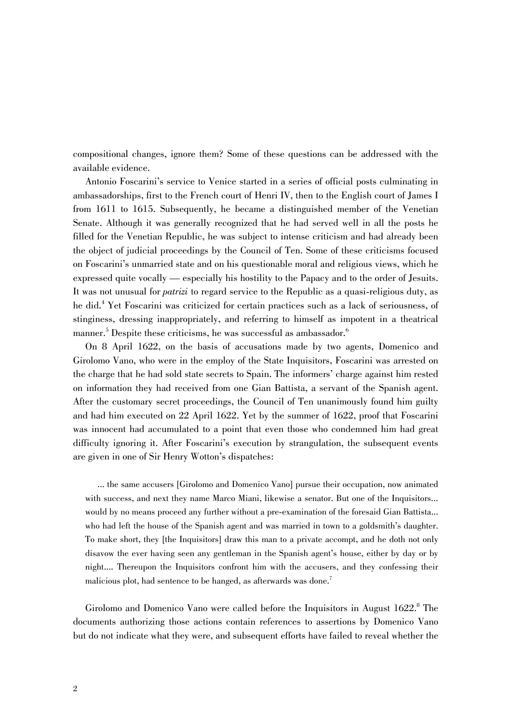compositional changes, ignore them? Some of these questions can be addressed with the available evidence.

Antonio Foscarini's service to Venice started in a series of official posts culminating in ambassadorships, first to the French court of Henri IV, then to the English court of James I from 1611 to 1615. Subsequently, he became a distinguished member of the Venetian Senate. Although it was generally recognized that he had served well in all the posts he filled for the Venetian Republic, he was subject to intense criticism and had already been the object of judicial proceedings by the Council of Ten. Some of these criticisms focused on Foscarini's unmarried state and on his questionable moral and religious views, which he expressed quite vocally — especially his hostility to the Papacy and to the order of Jesuits. It was not unusual for *patrizi* to regard service to the Republic as a quasi-religious duty, as he did.4 Yet Foscarini was criticized for certain practices such as a lack of seriousness, of stinginess, dressing inappropriately, and referring to himself as impotent in a theatrical manner. $^5$  Despite these criticisms, he was successful as ambassador. $^6$ 

On 8 April 1622, on the basis of accusations made by two agents, Domenico and Girolomo Vano, who were in the employ of the State Inquisitors, Foscarini was arrested on the charge that he had sold state secrets to Spain. The informers' charge against him rested on information they had received from one Gian Battista, a servant of the Spanish agent. After the customary secret proceedings, the Council of Ten unanimously found him guilty and had him executed on 22 April 1622. Yet by the summer of 1622, proof that Foscarini was innocent had accumulated to a point that even those who condemned him had great difficulty ignoring it. After Foscarini's execution by strangulation, the subsequent events are given in one of Sir Henry Wotton's dispatches:

... the same accusers [Girolomo and Domenico Vano] pursue their occupation, now animated with success, and next they name Marco Miani, likewise a senator. But one of the Inquisitors... would by no means proceed any further without a pre-examination of the foresaid Gian Battista... who had left the house of the Spanish agent and was married in town to a goldsmith's daughter. To make short, they [the Inquisitors] draw this man to a private accompt, and he doth not only disavow the ever having seen any gentleman in the Spanish agent's house, either by day or by night.... Thereupon the Inquisitors confront him with the accusers, and they confessing their malicious plot, had sentence to be hanged, as afterwards was done.<sup>7</sup>

Girolomo and Domenico Vano were called before the Inquisitors in August  $1622$ .<sup>8</sup> The documents authorizing those actions contain references to assertions by Domenico Vano but do not indicate what they were, and subsequent efforts have failed to reveal whether the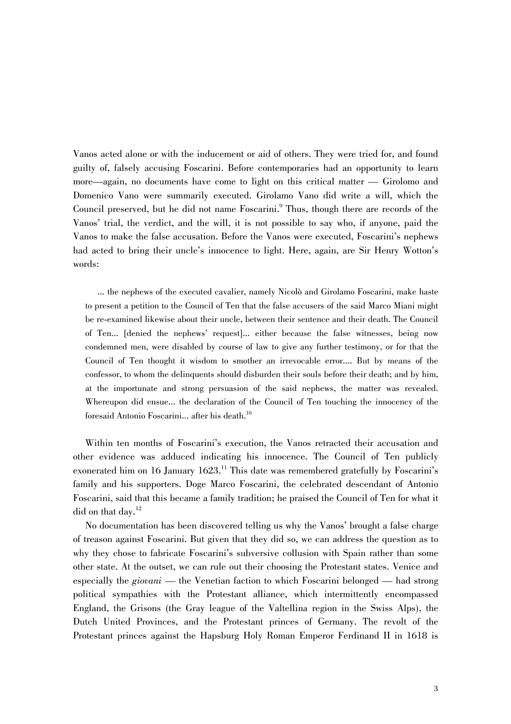Vanos acted alone or with the inducement or aid of others. They were tried for, and found guilty of, falsely accusing Foscarini. Before contemporaries had an opportunity to learn more—again, no documents have come to light on this critical matter — Girolomo and Domenico Vano were summarily executed. Girolamo Vano did write a will, which the Council preserved, but he did not name Foscarini.<sup>9</sup> Thus, though there are records of the Vanos' trial, the verdict, and the will, it is not possible to say who, if anyone, paid the Vanos to make the false accusation. Before the Vanos were executed, Foscarini's nephews had acted to bring their uncle's innocence to light. Here, again, are Sir Henry Wotton's words:

... the nephews of the executed cavalier, namely Nicolò and Girolamo Foscarini, make haste to present a petition to the Council of Ten that the false accusers of the said Marco Miani might be re-examined likewise about their uncle, between their sentence and their death. The Council of Ten... [denied the nephews' request]... either because the false witnesses, being now condemned men, were disabled by course of law to give any further testimony, or for that the Council of Ten thought it wisdom to smother an irrevocable error.... But by means of the confessor, to whom the delinquents should disburden their souls before their death; and by him, at the importunate and strong persuasion of the said nephews, the matter was revealed. Whereupon did ensue... the declaration of the Council of Ten touching the innocency of the foresaid Antonio Foscarini... after his death.<sup>10</sup>

Within ten months of Foscarini's execution, the Vanos retracted their accusation and other evidence was adduced indicating his innocence. The Council of Ten publicly exonerated him on 16 January  $1623$ .<sup>11</sup> This date was remembered gratefully by Foscarini's family and his supporters. Doge Marco Foscarini, the celebrated descendant of Antonio Foscarini, said that this became a family tradition; he praised the Council of Ten for what it did on that day.<sup>12</sup>

No documentation has been discovered telling us why the Vanos' brought a false charge of treason against Foscarini. But given that they did so, we can address the question as to why they chose to fabricate Foscarini's subversive collusion with Spain rather than some other state. At the outset, we can rule out their choosing the Protestant states. Venice and especially the *giovani* — the Venetian faction to which Foscarini belonged — had strong political sympathies with the Protestant alliance, which intermittently encompassed England, the Grisons (the Gray league of the Valtellina region in the Swiss Alps), the Dutch United Provinces, and the Protestant princes of Germany. The revolt of the Protestant princes against the Hapsburg Holy Roman Emperor Ferdinand II in 1618 is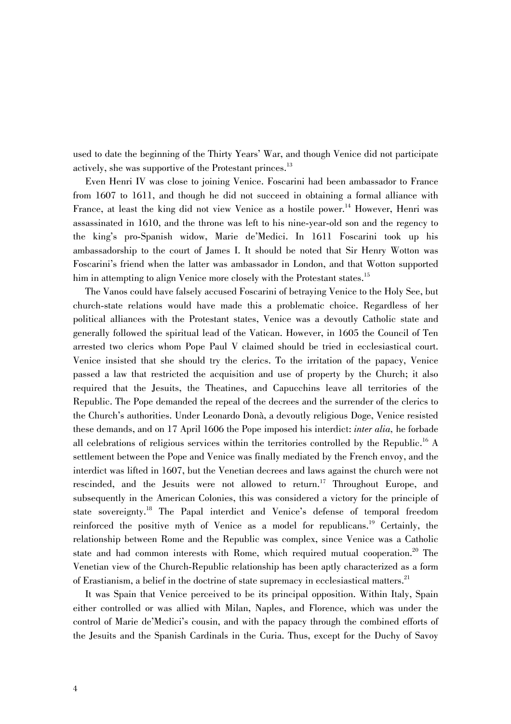used to date the beginning of the Thirty Years' War, and though Venice did not participate actively, she was supportive of the Protestant princes.<sup>13</sup>

Even Henri IV was close to joining Venice. Foscarini had been ambassador to France from 1607 to 1611, and though he did not succeed in obtaining a formal alliance with France, at least the king did not view Venice as a hostile power.<sup>14</sup> However, Henri was assassinated in 1610, and the throne was left to his nine-year-old son and the regency to the king's pro-Spanish widow, Marie de'Medici. In 1611 Foscarini took up his ambassadorship to the court of James I. It should be noted that Sir Henry Wotton was Foscarini's friend when the latter was ambassador in London, and that Wotton supported him in attempting to align Venice more closely with the Protestant states.<sup>15</sup>

The Vanos could have falsely accused Foscarini of betraying Venice to the Holy See, but church-state relations would have made this a problematic choice. Regardless of her political alliances with the Protestant states, Venice was a devoutly Catholic state and generally followed the spiritual lead of the Vatican. However, in 1605 the Council of Ten arrested two clerics whom Pope Paul V claimed should be tried in ecclesiastical court. Venice insisted that she should try the clerics. To the irritation of the papacy, Venice passed a law that restricted the acquisition and use of property by the Church; it also required that the Jesuits, the Theatines, and Capucchins leave all territories of the Republic. The Pope demanded the repeal of the decrees and the surrender of the clerics to the Church's authorities. Under Leonardo Donà, a devoutly religious Doge, Venice resisted these demands, and on 17 April 1606 the Pope imposed his interdict: *inter alia,* he forbade all celebrations of religious services within the territories controlled by the Republic.<sup>16</sup> A settlement between the Pope and Venice was finally mediated by the French envoy, and the interdict was lifted in 1607, but the Venetian decrees and laws against the church were not rescinded, and the Jesuits were not allowed to return.<sup>17</sup> Throughout Europe, and subsequently in the American Colonies, this was considered a victory for the principle of state sovereignty.18 The Papal interdict and Venice's defense of temporal freedom reinforced the positive myth of Venice as a model for republicans.<sup>19</sup> Certainly, the relationship between Rome and the Republic was complex, since Venice was a Catholic state and had common interests with Rome, which required mutual cooperation.<sup>20</sup> The Venetian view of the Church-Republic relationship has been aptly characterized as a form of Erastianism, a belief in the doctrine of state supremacy in ecclesiastical matters.<sup>21</sup>

It was Spain that Venice perceived to be its principal opposition. Within Italy, Spain either controlled or was allied with Milan, Naples, and Florence, which was under the control of Marie de'Medici's cousin, and with the papacy through the combined efforts of the Jesuits and the Spanish Cardinals in the Curia. Thus, except for the Duchy of Savoy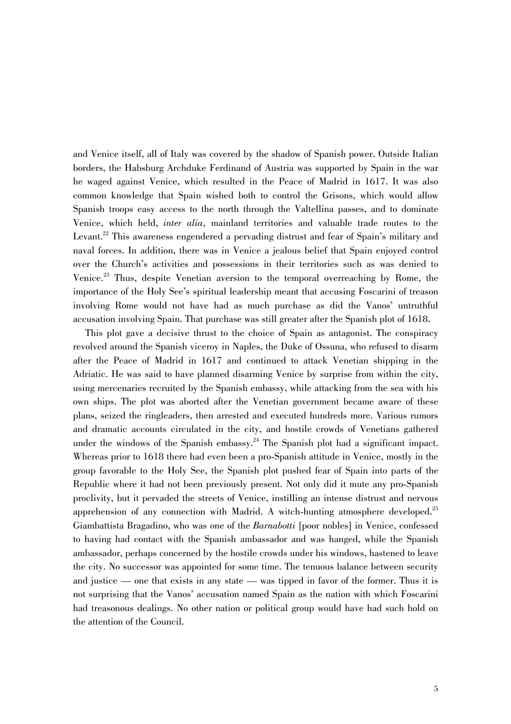and Venice itself, all of Italy was covered by the shadow of Spanish power. Outside Italian borders, the Habsburg Archduke Ferdinand of Austria was supported by Spain in the war he waged against Venice, which resulted in the Peace of Madrid in 1617. It was also common knowledge that Spain wished both to control the Grisons, which would allow Spanish troops easy access to the north through the Valtellina passes, and to dominate Venice, which held, *inter alia*, mainland territories and valuable trade routes to the Levant.<sup>22</sup> This awareness engendered a pervading distrust and fear of Spain's military and naval forces. In addition, there was in Venice a jealous belief that Spain enjoyed control over the Church's activities and possessions in their territories such as was denied to Venice.23 Thus, despite Venetian aversion to the temporal overreaching by Rome, the importance of the Holy See's spiritual leadership meant that accusing Foscarini of treason involving Rome would not have had as much purchase as did the Vanos' untruthful accusation involving Spain. That purchase was still greater after the Spanish plot of 1618.

This plot gave a decisive thrust to the choice of Spain as antagonist. The conspiracy revolved around the Spanish viceroy in Naples, the Duke of Ossuna, who refused to disarm after the Peace of Madrid in 1617 and continued to attack Venetian shipping in the Adriatic. He was said to have planned disarming Venice by surprise from within the city, using mercenaries recruited by the Spanish embassy, while attacking from the sea with his own ships. The plot was aborted after the Venetian government became aware of these plans, seized the ringleaders, then arrested and executed hundreds more. Various rumors and dramatic accounts circulated in the city, and hostile crowds of Venetians gathered under the windows of the Spanish embassy.<sup>24</sup> The Spanish plot had a significant impact. Whereas prior to 1618 there had even been a pro-Spanish attitude in Venice, mostly in the group favorable to the Holy See, the Spanish plot pushed fear of Spain into parts of the Republic where it had not been previously present. Not only did it mute any pro-Spanish proclivity, but it pervaded the streets of Venice, instilling an intense distrust and nervous apprehension of any connection with Madrid. A witch-hunting atmosphere developed.<sup>25</sup> Giambattista Bragadino, who was one of the *Barnabotti* [poor nobles] in Venice, confessed to having had contact with the Spanish ambassador and was hanged, while the Spanish ambassador, perhaps concerned by the hostile crowds under his windows, hastened to leave the city. No successor was appointed for some time. The tenuous balance between security and justice — one that exists in any state — was tipped in favor of the former. Thus it is not surprising that the Vanos' accusation named Spain as the nation with which Foscarini had treasonous dealings. No other nation or political group would have had such hold on the attention of the Council.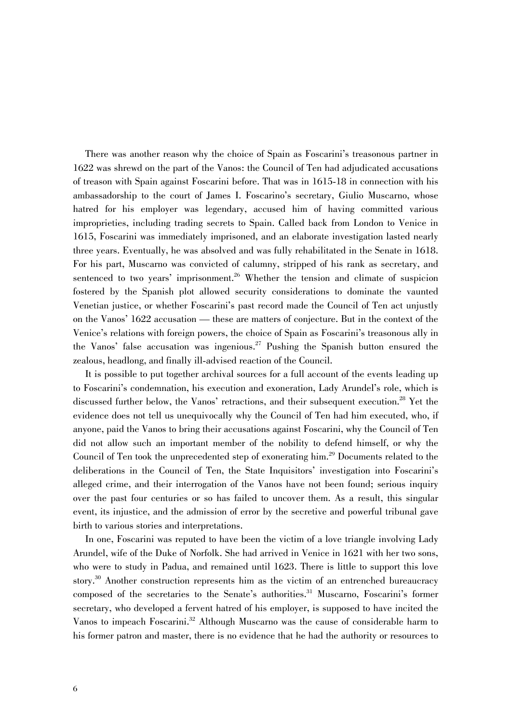There was another reason why the choice of Spain as Foscarini's treasonous partner in 1622 was shrewd on the part of the Vanos: the Council of Ten had adjudicated accusations of treason with Spain against Foscarini before. That was in 1615-18 in connection with his ambassadorship to the court of James I. Foscarino's secretary, Giulio Muscarno, whose hatred for his employer was legendary, accused him of having committed various improprieties, including trading secrets to Spain. Called back from London to Venice in 1615, Foscarini was immediately imprisoned, and an elaborate investigation lasted nearly three years. Eventually, he was absolved and was fully rehabilitated in the Senate in 1618. For his part, Muscarno was convicted of calumny, stripped of his rank as secretary, and sentenced to two years' imprisonment.<sup>26</sup> Whether the tension and climate of suspicion fostered by the Spanish plot allowed security considerations to dominate the vaunted Venetian justice, or whether Foscarini's past record made the Council of Ten act unjustly on the Vanos' 1622 accusation — these are matters of conjecture. But in the context of the Venice's relations with foreign powers, the choice of Spain as Foscarini's treasonous ally in the Vanos' false accusation was ingenious.<sup>27</sup> Pushing the Spanish button ensured the zealous, headlong, and finally ill-advised reaction of the Council.

It is possible to put together archival sources for a full account of the events leading up to Foscarini's condemnation, his execution and exoneration, Lady Arundel's role, which is discussed further below, the Vanos' retractions, and their subsequent execution.<sup>28</sup> Yet the evidence does not tell us unequivocally why the Council of Ten had him executed, who, if anyone, paid the Vanos to bring their accusations against Foscarini, why the Council of Ten did not allow such an important member of the nobility to defend himself, or why the Council of Ten took the unprecedented step of exonerating him.<sup>29</sup> Documents related to the deliberations in the Council of Ten, the State Inquisitors' investigation into Foscarini's alleged crime, and their interrogation of the Vanos have not been found; serious inquiry over the past four centuries or so has failed to uncover them. As a result, this singular event, its injustice, and the admission of error by the secretive and powerful tribunal gave birth to various stories and interpretations.

In one, Foscarini was reputed to have been the victim of a love triangle involving Lady Arundel, wife of the Duke of Norfolk. She had arrived in Venice in 1621 with her two sons, who were to study in Padua, and remained until 1623. There is little to support this love story.<sup>30</sup> Another construction represents him as the victim of an entrenched bureaucracy composed of the secretaries to the Senate's authorities.<sup>31</sup> Muscarno, Foscarini's former secretary, who developed a fervent hatred of his employer, is supposed to have incited the Vanos to impeach Foscarini.<sup>32</sup> Although Muscarno was the cause of considerable harm to his former patron and master, there is no evidence that he had the authority or resources to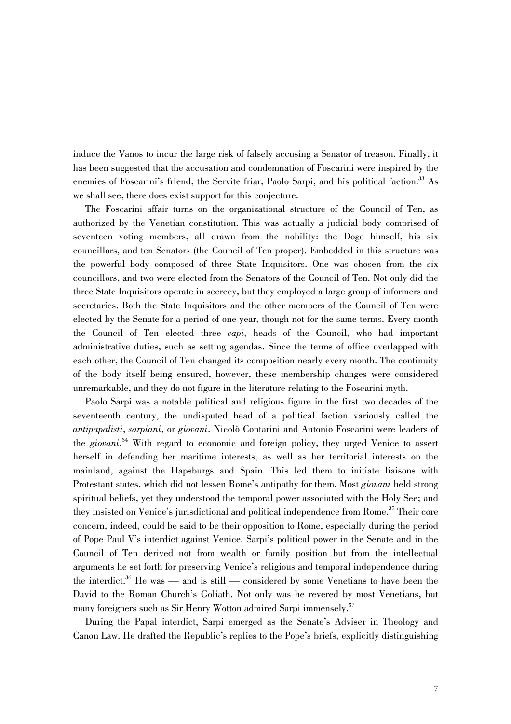induce the Vanos to incur the large risk of falsely accusing a Senator of treason. Finally, it has been suggested that the accusation and condemnation of Foscarini were inspired by the enemies of Foscarini's friend, the Servite friar, Paolo Sarpi, and his political faction.<sup>33</sup> As we shall see, there does exist support for this conjecture.

The Foscarini affair turns on the organizational structure of the Council of Ten, as authorized by the Venetian constitution. This was actually a judicial body comprised of seventeen voting members, all drawn from the nobility: the Doge himself, his six councillors, and ten Senators (the Council of Ten proper). Embedded in this structure was the powerful body composed of three State Inquisitors. One was chosen from the six councillors, and two were elected from the Senators of the Council of Ten. Not only did the three State Inquisitors operate in secrecy, but they employed a large group of informers and secretaries. Both the State Inquisitors and the other members of the Council of Ten were elected by the Senate for a period of one year, though not for the same terms. Every month the Council of Ten elected three *capi*, heads of the Council, who had important administrative duties, such as setting agendas. Since the terms of office overlapped with each other, the Council of Ten changed its composition nearly every month. The continuity of the body itself being ensured, however, these membership changes were considered unremarkable, and they do not figure in the literature relating to the Foscarini myth.

Paolo Sarpi was a notable political and religious figure in the first two decades of the seventeenth century, the undisputed head of a political faction variously called the *antipapalisti*, *sarpiani*, or *giovani*. Nicolò Contarini and Antonio Foscarini were leaders of the *giovani*. 34 With regard to economic and foreign policy, they urged Venice to assert herself in defending her maritime interests, as well as her territorial interests on the mainland, against the Hapsburgs and Spain. This led them to initiate liaisons with Protestant states, which did not lessen Rome's antipathy for them. Most *giovani* held strong spiritual beliefs, yet they understood the temporal power associated with the Holy See; and they insisted on Venice's jurisdictional and political independence from Rome.<sup>35</sup> Their core concern, indeed, could be said to be their opposition to Rome, especially during the period of Pope Paul V's interdict against Venice. Sarpi's political power in the Senate and in the Council of Ten derived not from wealth or family position but from the intellectual arguments he set forth for preserving Venice's religious and temporal independence during the interdict.<sup>36</sup> He was — and is still — considered by some Venetians to have been the David to the Roman Church's Goliath. Not only was he revered by most Venetians, but many foreigners such as Sir Henry Wotton admired Sarpi immensely.<sup>37</sup>

During the Papal interdict, Sarpi emerged as the Senate's Adviser in Theology and Canon Law. He drafted the Republic's replies to the Pope's briefs, explicitly distinguishing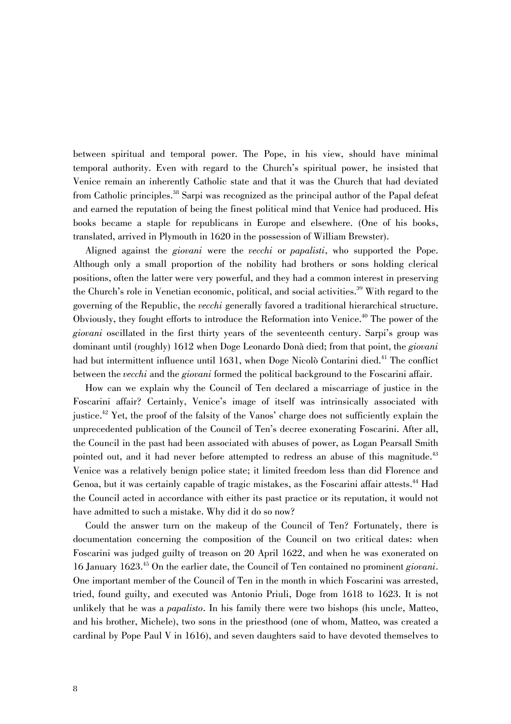between spiritual and temporal power. The Pope, in his view, should have minimal temporal authority. Even with regard to the Church's spiritual power, he insisted that Venice remain an inherently Catholic state and that it was the Church that had deviated from Catholic principles.<sup>38</sup> Sarpi was recognized as the principal author of the Papal defeat and earned the reputation of being the finest political mind that Venice had produced. His books became a staple for republicans in Europe and elsewhere. (One of his books, translated, arrived in Plymouth in 1620 in the possession of William Brewster).

Aligned against the *giovani* were the *vecchi* or *papalisti*, who supported the Pope. Although only a small proportion of the nobility had brothers or sons holding clerical positions, often the latter were very powerful, and they had a common interest in preserving the Church's role in Venetian economic, political, and social activities.<sup>39</sup> With regard to the governing of the Republic, the *vecchi* generally favored a traditional hierarchical structure. Obviously, they fought efforts to introduce the Reformation into Venice.<sup>40</sup> The power of the *giovani* oscillated in the first thirty years of the seventeenth century. Sarpi's group was dominant until (roughly) 1612 when Doge Leonardo Donà died; from that point, the *giovani* had but intermittent influence until 1631, when Doge Nicolò Contarini died.<sup>41</sup> The conflict between the *vecchi* and the *giovani* formed the political background to the Foscarini affair.

How can we explain why the Council of Ten declared a miscarriage of justice in the Foscarini affair? Certainly, Venice's image of itself was intrinsically associated with justice.<sup>42</sup> Yet, the proof of the falsity of the Vanos' charge does not sufficiently explain the unprecedented publication of the Council of Ten's decree exonerating Foscarini. After all, the Council in the past had been associated with abuses of power, as Logan Pearsall Smith pointed out, and it had never before attempted to redress an abuse of this magnitude.<sup>43</sup> Venice was a relatively benign police state; it limited freedom less than did Florence and Genoa, but it was certainly capable of tragic mistakes, as the Foscarini affair attests.<sup>44</sup> Had the Council acted in accordance with either its past practice or its reputation, it would not have admitted to such a mistake. Why did it do so now?

Could the answer turn on the makeup of the Council of Ten? Fortunately, there is documentation concerning the composition of the Council on two critical dates: when Foscarini was judged guilty of treason on 20 April 1622, and when he was exonerated on 16 January 1623.45 On the earlier date, the Council of Ten contained no prominent *giovani*. One important member of the Council of Ten in the month in which Foscarini was arrested, tried, found guilty, and executed was Antonio Priuli, Doge from 1618 to 1623. It is not unlikely that he was a *papalisto*. In his family there were two bishops (his uncle, Matteo, and his brother, Michele), two sons in the priesthood (one of whom, Matteo, was created a cardinal by Pope Paul V in 1616), and seven daughters said to have devoted themselves to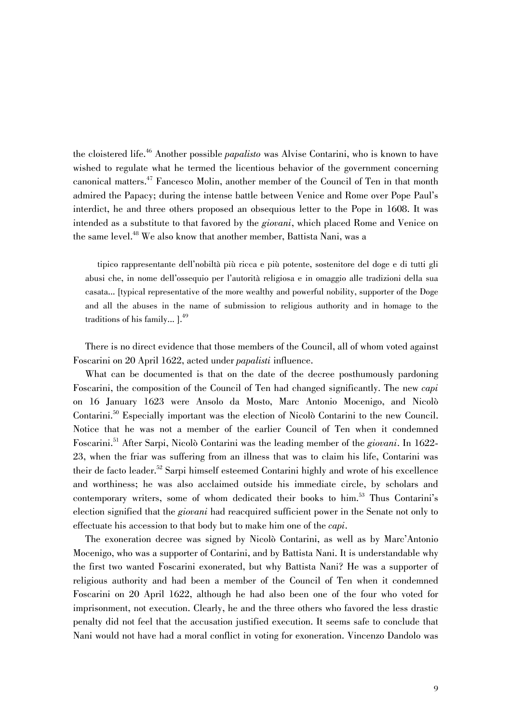the cloistered life.46 Another possible *papalisto* was Alvise Contarini, who is known to have wished to regulate what he termed the licentious behavior of the government concerning canonical matters.<sup>47</sup> Fancesco Molin, another member of the Council of Ten in that month admired the Papacy; during the intense battle between Venice and Rome over Pope Paul's interdict, he and three others proposed an obsequious letter to the Pope in 1608. It was intended as a substitute to that favored by the *giovani*, which placed Rome and Venice on the same level.<sup>48</sup> We also know that another member, Battista Nani, was a

tipico rappresentante dell'nobiltà più ricca e più potente, sostenitore del doge e di tutti gli abusi che, in nome dell'ossequio per l'autorità religiosa e in omaggio alle tradizioni della sua casata... [typical representative of the more wealthy and powerful nobility, supporter of the Doge and all the abuses in the name of submission to religious authority and in homage to the traditions of his family... ].<sup>49</sup>

There is no direct evidence that those members of the Council, all of whom voted against Foscarini on 20 April 1622, acted under *papalisti* influence.

What can be documented is that on the date of the decree posthumously pardoning Foscarini, the composition of the Council of Ten had changed significantly. The new *capi* on 16 January 1623 were Ansolo da Mosto, Marc Antonio Mocenigo, and Nicolò Contarini.50 Especially important was the election of Nicolò Contarini to the new Council. Notice that he was not a member of the earlier Council of Ten when it condemned Foscarini.51 After Sarpi, Nicolò Contarini was the leading member of the *giovani*. In 1622- 23, when the friar was suffering from an illness that was to claim his life, Contarini was their de facto leader.<sup>52</sup> Sarpi himself esteemed Contarini highly and wrote of his excellence and worthiness; he was also acclaimed outside his immediate circle, by scholars and contemporary writers, some of whom dedicated their books to him.<sup>53</sup> Thus Contarini's election signified that the *giovani* had reacquired sufficient power in the Senate not only to effectuate his accession to that body but to make him one of the *capi*.

The exoneration decree was signed by Nicolò Contarini, as well as by Marc'Antonio Mocenigo, who was a supporter of Contarini, and by Battista Nani. It is understandable why the first two wanted Foscarini exonerated, but why Battista Nani? He was a supporter of religious authority and had been a member of the Council of Ten when it condemned Foscarini on 20 April 1622, although he had also been one of the four who voted for imprisonment, not execution. Clearly, he and the three others who favored the less drastic penalty did not feel that the accusation justified execution. It seems safe to conclude that Nani would not have had a moral conflict in voting for exoneration. Vincenzo Dandolo was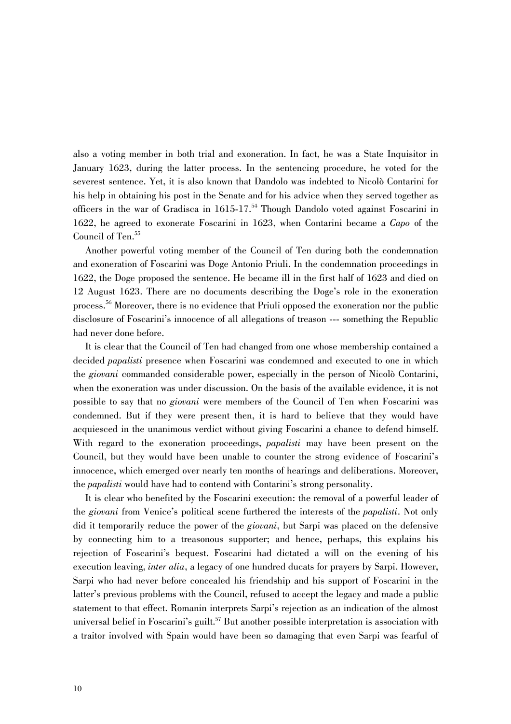also a voting member in both trial and exoneration. In fact, he was a State Inquisitor in January 1623, during the latter process. In the sentencing procedure, he voted for the severest sentence. Yet, it is also known that Dandolo was indebted to Nicolò Contarini for his help in obtaining his post in the Senate and for his advice when they served together as officers in the war of Gradisca in  $1615$ -17.<sup>54</sup> Though Dandolo voted against Foscarini in 1622, he agreed to exonerate Foscarini in 1623, when Contarini became a *Capo* of the Council of Ten.<sup>55</sup>

Another powerful voting member of the Council of Ten during both the condemnation and exoneration of Foscarini was Doge Antonio Priuli. In the condemnation proceedings in 1622, the Doge proposed the sentence. He became ill in the first half of 1623 and died on 12 August 1623. There are no documents describing the Doge's role in the exoneration process.<sup>56</sup> Moreover, there is no evidence that Priuli opposed the exoneration nor the public disclosure of Foscarini's innocence of all allegations of treason --- something the Republic had never done before.

It is clear that the Council of Ten had changed from one whose membership contained a decided *papalisti* presence when Foscarini was condemned and executed to one in which the *giovani* commanded considerable power, especially in the person of Nicolò Contarini, when the exoneration was under discussion. On the basis of the available evidence, it is not possible to say that no *giovani* were members of the Council of Ten when Foscarini was condemned. But if they were present then, it is hard to believe that they would have acquiesced in the unanimous verdict without giving Foscarini a chance to defend himself. With regard to the exoneration proceedings, *papalisti* may have been present on the Council, but they would have been unable to counter the strong evidence of Foscarini's innocence, which emerged over nearly ten months of hearings and deliberations. Moreover, the *papalisti* would have had to contend with Contarini's strong personality.

It is clear who benefited by the Foscarini execution: the removal of a powerful leader of the *giovani* from Venice's political scene furthered the interests of the *papalisti*. Not only did it temporarily reduce the power of the *giovani*, but Sarpi was placed on the defensive by connecting him to a treasonous supporter; and hence, perhaps, this explains his rejection of Foscarini's bequest. Foscarini had dictated a will on the evening of his execution leaving, *inter alia*, a legacy of one hundred ducats for prayers by Sarpi. However, Sarpi who had never before concealed his friendship and his support of Foscarini in the latter's previous problems with the Council, refused to accept the legacy and made a public statement to that effect. Romanin interprets Sarpi's rejection as an indication of the almost universal belief in Foscarini's guilt.<sup>57</sup> But another possible interpretation is association with a traitor involved with Spain would have been so damaging that even Sarpi was fearful of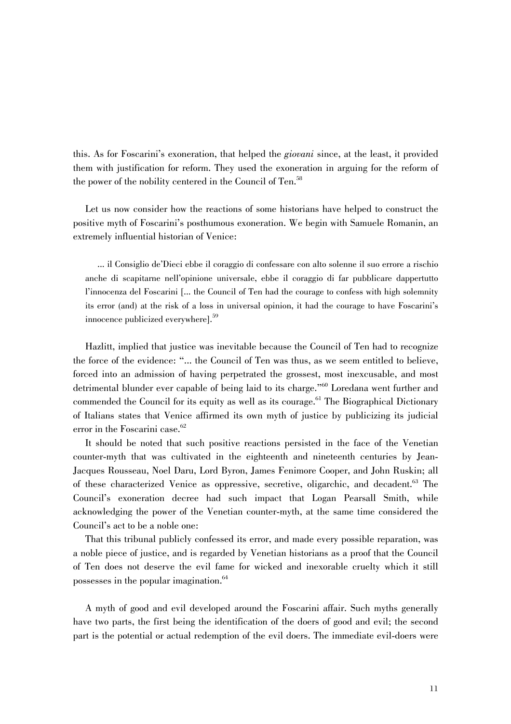this. As for Foscarini's exoneration, that helped the *giovani* since, at the least, it provided them with justification for reform. They used the exoneration in arguing for the reform of the power of the nobility centered in the Council of Ten.<sup>58</sup>

Let us now consider how the reactions of some historians have helped to construct the positive myth of Foscarini's posthumous exoneration. We begin with Samuele Romanin, an extremely influential historian of Venice:

... il Consiglio de'Dieci ebbe il coraggio di confessare con alto solenne il suo errore a rischio anche di scapitarne nell'opinione universale, ebbe il coraggio di far pubblicare dappertutto l'innocenza del Foscarini [... the Council of Ten had the courage to confess with high solemnity its error (and) at the risk of a loss in universal opinion, it had the courage to have Foscarini's innocence publicized everywhere].<sup>59</sup>

Hazlitt, implied that justice was inevitable because the Council of Ten had to recognize the force of the evidence: "... the Council of Ten was thus, as we seem entitled to believe, forced into an admission of having perpetrated the grossest, most inexcusable, and most detrimental blunder ever capable of being laid to its charge."<sup>60</sup> Loredana went further and commended the Council for its equity as well as its courage.<sup>61</sup> The Biographical Dictionary of Italians states that Venice affirmed its own myth of justice by publicizing its judicial error in the Foscarini case.<sup>62</sup>

It should be noted that such positive reactions persisted in the face of the Venetian counter-myth that was cultivated in the eighteenth and nineteenth centuries by Jean-Jacques Rousseau, Noel Daru, Lord Byron, James Fenimore Cooper, and John Ruskin; all of these characterized Venice as oppressive, secretive, oligarchic, and decadent.<sup>63</sup> The Council's exoneration decree had such impact that Logan Pearsall Smith, while acknowledging the power of the Venetian counter-myth, at the same time considered the Council's act to be a noble one:

That this tribunal publicly confessed its error, and made every possible reparation, was a noble piece of justice, and is regarded by Venetian historians as a proof that the Council of Ten does not deserve the evil fame for wicked and inexorable cruelty which it still possesses in the popular imagination.<sup>64</sup>

A myth of good and evil developed around the Foscarini affair. Such myths generally have two parts, the first being the identification of the doers of good and evil; the second part is the potential or actual redemption of the evil doers. The immediate evil-doers were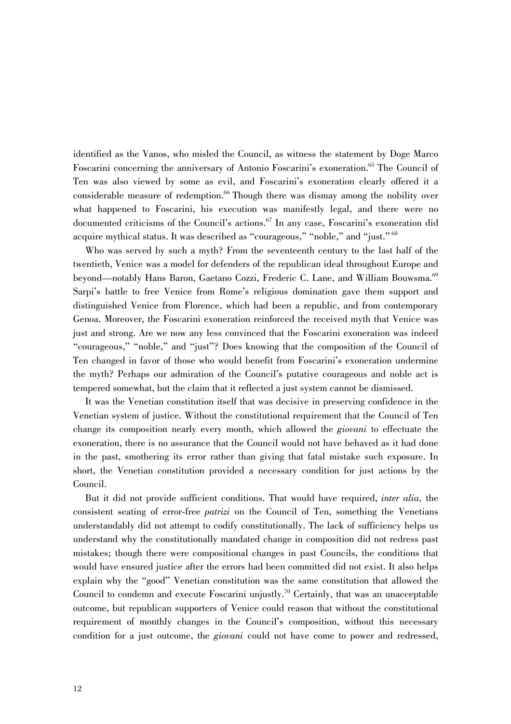identified as the Vanos, who misled the Council, as witness the statement by Doge Marco Foscarini concerning the anniversary of Antonio Foscarini's exoneration.<sup>65</sup> The Council of Ten was also viewed by some as evil, and Foscarini's exoneration clearly offered it a considerable measure of redemption.<sup>66</sup> Though there was dismay among the nobility over what happened to Foscarini, his execution was manifestly legal, and there were no documented criticisms of the Council's actions.<sup>67</sup> In any case, Foscarini's exoneration did acquire mythical status. It was described as "courageous," "noble," and "just."<sup>68</sup>

Who was served by such a myth? From the seventeenth century to the last half of the twentieth, Venice was a model for defenders of the republican ideal throughout Europe and beyond—notably Hans Baron, Gaetano Cozzi, Frederic C. Lane, and William Bouwsma.<sup>69</sup> Sarpi's battle to free Venice from Rome's religious domination gave them support and distinguished Venice from Florence, which had been a republic, and from contemporary Genoa. Moreover, the Foscarini exoneration reinforced the received myth that Venice was just and strong. Are we now any less convinced that the Foscarini exoneration was indeed "courageous," "noble," and "just"? Does knowing that the composition of the Council of Ten changed in favor of those who would benefit from Foscarini's exoneration undermine the myth? Perhaps our admiration of the Council's putative courageous and noble act is tempered somewhat, but the claim that it reflected a just system cannot be dismissed.

It was the Venetian constitution itself that was decisive in preserving confidence in the Venetian system of justice. Without the constitutional requirement that the Council of Ten change its composition nearly every month, which allowed the *giovani* to effectuate the exoneration, there is no assurance that the Council would not have behaved as it had done in the past, smothering its error rather than giving that fatal mistake such exposure. In short, the Venetian constitution provided a necessary condition for just actions by the Council.

But it did not provide sufficient conditions. That would have required, *inter alia,* the consistent seating of error-free *patrizi* on the Council of Ten, something the Venetians understandably did not attempt to codify constitutionally. The lack of sufficiency helps us understand why the constitutionally mandated change in composition did not redress past mistakes; though there were compositional changes in past Councils, the conditions that would have ensured justice after the errors had been committed did not exist. It also helps explain why the "good" Venetian constitution was the same constitution that allowed the Council to condemn and execute Foscarini unjustly.<sup>70</sup> Certainly, that was an unacceptable outcome, but republican supporters of Venice could reason that without the constitutional requirement of monthly changes in the Council's composition, without this necessary condition for a just outcome, the *giovani* could not have come to power and redressed,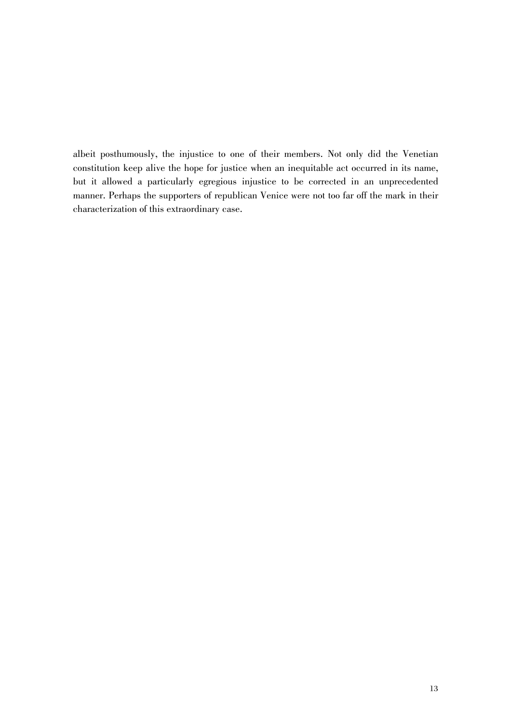albeit posthumously, the injustice to one of their members. Not only did the Venetian constitution keep alive the hope for justice when an inequitable act occurred in its name, but it allowed a particularly egregious injustice to be corrected in an unprecedented manner. Perhaps the supporters of republican Venice were not too far off the mark in their characterization of this extraordinary case.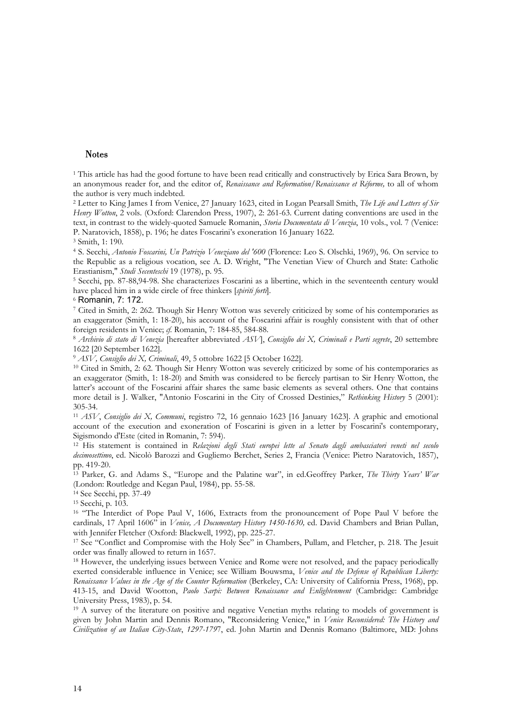### **Notes**

<sup>1</sup> This article has had the good fortune to have been read critically and constructively by Erica Sara Brown, by an anonymous reader for, and the editor of, *Renaissance and Reformation/Renaissance et Réforme,* to all of whom the author is very much indebted.

2 Letter to King James I from Venice, 27 January 1623, cited in Logan Pearsall Smith, *The Life and Letters of Sir Henry Wotton*, 2 vols. (Oxford: Clarendon Press, 1907), 2: 261-63. Current dating conventions are used in the text, in contrast to the widely-quoted Samuele Romanin, *Storia Documentata di Venezia*, 10 vols., vol. 7 (Venice: P. Naratovich, 1858), p. 196; he dates Foscarini's exoneration 16 January 1622. 3 Smith, 1: 190.

4 S. Secchi, *Antonio Foscarini, Un Patrizio Veneziano del '600* (Florence: Leo S. Olschki, 1969), 96. On service to the Republic as a religious vocation, see A. D. Wright, "The Venetian View of Church and State: Catholic Erastianism," *Studi Secenteschi* 19 (1978), p. 95.<br><sup>5</sup> Secchi, pp. 87-88,94-98. She characterizes Foscarini as a libertine, which in the seventeenth century would

have placed him in a wide circle of free thinkers [*spiriti forti*]. 6 Romanin, 7: 172.

7 Cited in Smith, 2: 262. Though Sir Henry Wotton was severely criticized by some of his contemporaries as an exaggerator (Smith, 1: 18-20), his account of the Foscarini affair is roughly consistent with that of other foreign residents in Venice; *cf.* Romanin, 7: 184-85, 584-88. 8 *Archivio di stato di Venezia* [hereafter abbreviated *ASV*], *Consiglio dei X, Criminali e Parti segrete*, 20 settembre

1622 [20 September 1622].

<sup>9</sup> *ASV, Consiglio dei X, Criminali*, 49, 5 ottobre 1622 [5 October 1622].<br><sup>10</sup> Cited in Smith, 2: 62. Though Sir Henry Wotton was severely criticized by some of his contemporaries as an exaggerator (Smith, 1: 18-20) and Smith was considered to be fiercely partisan to Sir Henry Wotton, the latter's account of the Foscarini affair shares the same basic elements as several others. One that contains more detail is J. Walker, "Antonio Foscarini in the City of Crossed Destinies," *Rethinking History* 5 (2001): 305-34.

<sup>11</sup> *ASV*, *Consiglio dei X, Communi*, registro 72, 16 gennaio 1623 [16 January 1623]. A graphic and emotional account of the execution and exoneration of Foscarini is given in a letter by Foscarini's contemporary, Sigismondo d'Este (cited in Romanin, 7: 594).

12 His statement is contained in *Relazioni degli Stati europei lette al Senato dagli ambasciatori veneti nel secolo decimosettimo*, ed. Nicolò Barozzi and Gugliemo Berchet, Series 2, Francia (Venice: Pietro Naratovich, 1857), pp. 419-20.

13 Parker, G. and Adams S., "Europe and the Palatine war", in ed.Geoffrey Parker, *The Thirty Years' War* (London: Routledge and Kegan Paul, 1984), pp. 55-58. 14 See Secchi, pp. 37-49

15 Secchi, p. 103.

<sup>16</sup> "The Interdict of Pope Paul V, 1606, Extracts from the pronouncement of Pope Paul V before the cardinals, 17 April 1606" in *Venice, A Documentary History 1450-1630*, ed. David Chambers and Brian Pullan, with Jennifer Fletcher (Oxford: Blackwell, 1992), pp. 225-27.

<sup>17</sup> See "Conflict and Compromise with the Holy See" in Chambers, Pullam, and Fletcher, p. 218. The Jesuit order was finally allowed to return in 1657.

<sup>18</sup> However, the underlying issues between Venice and Rome were not resolved, and the papacy periodically exerted considerable influence in Venice; see William Bouwsma, *Venice and the Defense of Republican Liberty: Renaissance Values in the Age of the Counter Reformation* (Berkeley, CA: University of California Press, 1968), pp. 413-15, and David Wootton, *Paolo Sarpi: Between Renaissance and Enlightenment* (Cambridge: Cambridge University Press, 1983), p. 54.

 $19$  A survey of the literature on positive and negative Venetian myths relating to models of government is given by John Martin and Dennis Romano, "Reconsidering Venice," in *Venice Reconsidered: The History and Civilization of an Italian City-State*, *1297-179*7, ed. John Martin and Dennis Romano (Baltimore, MD: Johns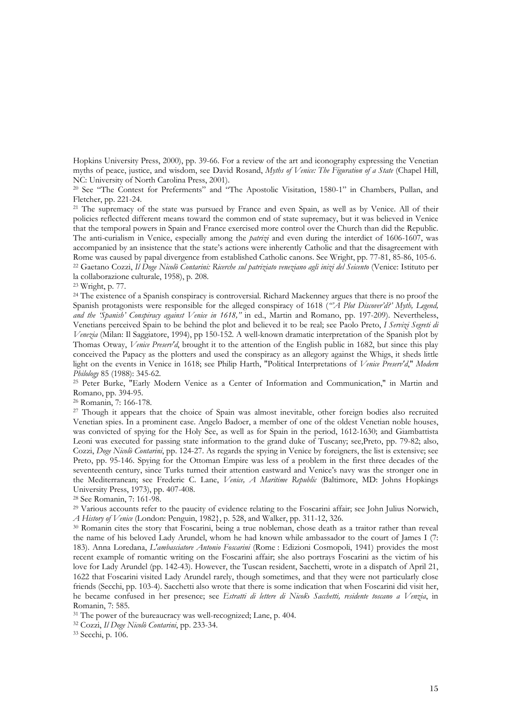Hopkins University Press, 2000), pp. 39-66. For a review of the art and iconography expressing the Venetian myths of peace, justice, and wisdom, see David Rosand, *Myths of Venice: The Figuration of a State* (Chapel Hill, NC: University of North Carolina Press, 2001).

20 See "The Contest for Preferments" and "The Apostolic Visitation, 1580-1" in Chambers, Pullan, and Fletcher, pp. 221-24.

<sup>21</sup> The supremacy of the state was pursued by France and even Spain, as well as by Venice. All of their policies reflected different means toward the common end of state supremacy, but it was believed in Venice that the temporal powers in Spain and France exercised more control over the Church than did the Republic. The anti-curialism in Venice, especially among the *patrizi* and even during the interdict of 1606-1607, was accompanied by an insistence that the state's actions were inherently Catholic and that the disagreement with Rome was caused by papal divergence from established Catholic canons. See Wright, pp. 77-81, 85-86, 105-6.<br><sup>22</sup> Gaetano Cozzi, *Il Doge Nicolò Contarini: Ricerche sul patriziato veneziano agli inizi del Seicento (Venice: I* la collaborazione culturale, 1958), p. 208.

23 Wright, p. 77.

<sup>24</sup> The existence of a Spanish conspiracy is controversial. Richard Mackenney argues that there is no proof the Spanish protagonists were responsible for the alleged conspiracy of 1618 (*"'A Plot Discover'd?' Myth, Legend, and the 'Spanish' Conspiracy against Venice in 1618,"* in ed., Martin and Romano, pp. 197-209). Nevertheless, Venetians perceived Spain to be behind the plot and believed it to be real; see Paolo Preto, *I Servizi Segreti di Venezia* (Milan: Il Saggiatore, 1994), pp 150-152. A well-known dramatic interpretation of the Spanish plot by Thomas Otway, *Venice Preserv'd*, brought it to the attention of the English public in 1682, but since this play conceived the Papacy as the plotters and used the conspiracy as an allegory against the Whigs, it sheds little light on the events in Venice in 1618; see Philip Harth, "Political Interpretations of *Venice Preserv'd*," *Modern Philology* 85 (1988): 345-62.<br><sup>25</sup> Peter Burke, "Early Modern Venice as a Center of Information and Communication," in Martin and

Romano, pp. 394-95.

26 Romanin, 7: 166-178.

<sup>27</sup> Though it appears that the choice of Spain was almost inevitable, other foreign bodies also recruited Venetian spies. In a prominent case. Angelo Badoer, a member of one of the oldest Venetian noble houses, was convicted of spying for the Holy See, as well as for Spain in the period, 1612-1630; and Giambattista Leoni was executed for passing state information to the grand duke of Tuscany; see,Preto, pp. 79-82; also, Cozzi, *Doge Nicolò Contarini*, pp. 124-27. As regards the spying in Venice by foreigners, the list is extensive; see Preto, pp. 95-146. Spying for the Ottoman Empire was less of a problem in the first three decades of the seventeenth century, since Turks turned their attention eastward and Venice's navy was the stronger one in the Mediterranean; see Frederic C. Lane, *Venice, A Maritime Republic* (Baltimore, MD: Johns Hopkings University Press, 1973), pp. 407-408.

28 See Romanin, 7: 161-98.

<sup>29</sup> Various accounts refer to the paucity of evidence relating to the Foscarini affair; see John Julius Norwich, *A History of Venice* (London: Penguin, 1982}, p. 528, and Walker, pp. 311-12, 326.<br><sup>30</sup> Romanin cites the story that Foscarini, being a true nobleman, chose death as a traitor rather than reveal

the name of his beloved Lady Arundel, whom he had known while ambassador to the court of James I (7: 183). Anna Loredana, *L'ambasciatore Antonio Foscarini* (Rome : Edizioni Cosmopoli, 1941) provides the most recent example of romantic writing on the Foscarini affair; she also portrays Foscarini as the victim of his love for Lady Arundel (pp. 142-43). However, the Tuscan resident, Sacchetti, wrote in a dispatch of April 21, 1622 that Foscarini visited Lady Arundel rarely, though sometimes, and that they were not particularly close friends (Secchi, pp. 103-4). Sacchetti also wrote that there is some indication that when Foscarini did visit her, he became confused in her presence; see *Estratti di lettere di Nicol*ò *Sacchetti, residente toscano a Venzia*, in Romanin, 7: 585.

31 The power of the bureaucracy was well-recognized; Lane, p. 404. 32 Cozzi, *Il Doge Nicolò Contarini*, pp. 233-34. 33 Secchi, p. 106.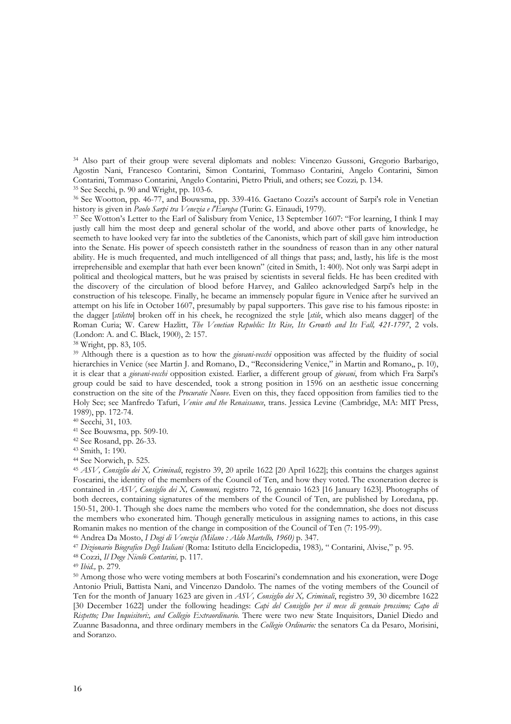34 Also part of their group were several diplomats and nobles: Vincenzo Gussoni, Gregorio Barbarigo, Agostin Nani, Francesco Contarini, Simon Contarini, Tommaso Contarini, Angelo Contarini, Simon Contarini, Tommaso Contarini, Angelo Contarini, Pietro Priuli, and others; see Cozzi, p. 134.

<sup>35</sup> See Secchi, p. 90 and Wright, pp. 103-6.<br><sup>36</sup> See Wootton, pp. 46-77, and Bouwsma, pp. 339-416. Gaetano Cozzi's account of Sarpi's role in Venetian<br>history is given in *Paolo Sarpi tra Venezia e l'Europa* (Turin: G. E

<sup>37</sup> See Wotton's Letter to the Earl of Salisbury from Venice, 13 September 1607: "For learning, I think I may justly call him the most deep and general scholar of the world, and above other parts of knowledge, he seemeth to have looked very far into the subtleties of the Canonists, which part of skill gave him introduction into the Senate. His power of speech consisteth rather in the soundness of reason than in any other natural ability. He is much frequented, and much intelligenced of all things that pass; and, lastly, his life is the most irreprehensible and exemplar that hath ever been known" (cited in Smith, 1: 400). Not only was Sarpi adept in political and theological matters, but he was praised by scientists in several fields. He has been credited with the discovery of the circulation of blood before Harvey, and Galileo acknowledged Sarpi's help in the construction of his telescope. Finally, he became an immensely popular figure in Venice after he survived an attempt on his life in October 1607, presumably by papal supporters. This gave rise to his famous riposte: in the dagger [*stiletto*] broken off in his cheek, he recognized the style [*stile*, which also means dagger] of the Roman Curia; W. Carew Hazlitt, *The Venetian Republic: Its Rise, Its Growth and Its Fall, 421-1797*, 2 vols. (London: A. and C. Black, 1900), 2: 157. 38 Wright, pp. 83, 105.

<sup>39</sup> Although there is a question as to how the *giovani-vecchi* opposition was affected by the fluidity of social hierarchies in Venice (see Martin J. and Romano, D., "Reconsidering Venice," in Martin and Romano,, p. 10), it is clear that a *giovani-vecchi* opposition existed. Earlier, a different group of *giovani*, from which Fra Sarpi's group could be said to have descended, took a strong position in 1596 on an aesthetic issue concerning construction on the site of the *Procuratie Nuove*. Even on this, they faced opposition from families tied to the Holy See; see Manfredo Tafuri, *Venice and the Renaissance*, trans. Jessica Levine (Cambridge, MA: MIT Press, 1989), pp. 172-74.

40 Secchi, 31, 103.

41 See Bouwsma, pp. 509-10.

42 See Rosand, pp. 26-33.

43 Smith, 1: 190.

44 See Norwich, p. 525.

<sup>45</sup> *ASV, Consiglio dei X, Criminali*, registro 39, 20 aprile 1622 [20 April 1622]; this contains the charges against Foscarini, the identity of the members of the Council of Ten, and how they voted. The exoneration decree is contained in *ASV, Consiglio dei X, Communi,* registro 72, 16 gennaio 1623 [16 January 1623]. Photographs of both decrees, containing signatures of the members of the Council of Ten, are published by Loredana, pp. 150-51, 200-1. Though she does name the members who voted for the condemnation, she does not discuss the members who exonerated him. Though generally meticulous in assigning names to actions, in this case Romanin makes no mention of the change in composition of the Council of Ten (7: 195-99).<br><sup>46</sup> Andrea Da Mosto, *I Dogi di Venezia (Milano : Aldo Martello, 1960)* p. 347.<br><sup>47</sup> Dizionario Biografico Degli Italiani (Roma: Ist

50 Among those who were voting members at both Foscarini's condemnation and his exoneration, were Doge Antonio Priuli, Battista Nani, and Vincenzo Dandolo. The names of the voting members of the Council of Ten for the month of January 1623 are given in *ASV, Consiglio dei X, Criminali*, registro 39, 30 dicembre 1622 [30 December 1622] under the following headings: *Capi del Consiglio per il mese di gennaio prossimo; Capo di Rispetto; Due Inquisitori:, and Collegio Extraordinario.* There were two new State Inquisitors, Daniel Diedo and Zuanne Basadonna, and three ordinary members in the *Collegio Ordinario:* the senators Ca da Pesaro, Morisini, and Soranzo.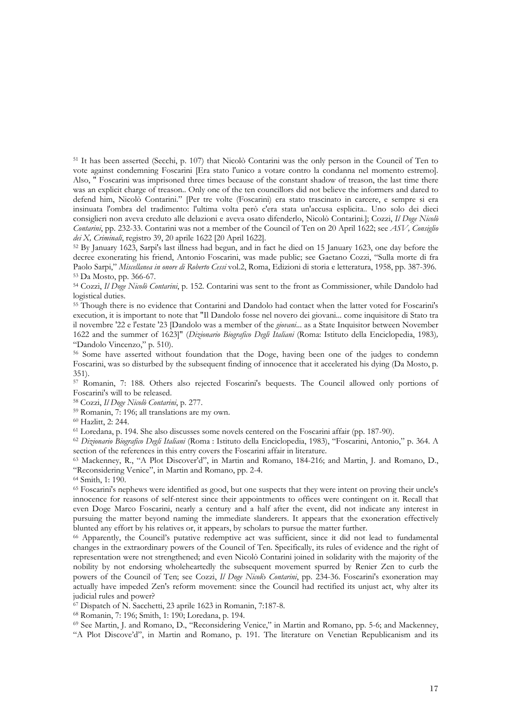51 It has been asserted (Secchi, p. 107) that Nicolò Contarini was the only person in the Council of Ten to vote against condemning Foscarini [Era stato l'unico a votare contro la condanna nel momento estremo]. Also, " Foscarini was imprisoned three times because of the constant shadow of treason, the last time there was an explicit charge of treason.. Only one of the ten councillors did not believe the informers and dared to defend him, Nicolò Contarini." [Per tre volte (Foscarini) era stato trascinato in carcere, e sempre si era insinuata l'ombra del tradimento: l'ultima volta però c'era stata un'accusa esplicita.. Uno solo dei dieci consiglieri non aveva creduto alle delazioni e aveva osato difenderlo, Nicolò Contarini.]; Cozzi, *Il Doge Nicolò Contarini*, pp. 232-33. Contarini was not a member of the Council of Ten on 20 April 1622; see *ASV, Consiglio dei X, Criminali*, registro 39, 20 aprile 1622 [20 April 1622].<br><sup>52</sup> By January 1623, Sarpi's last illness had begun, and in fact he died on 15 January 1623, one day before the

decree exonerating his friend, Antonio Foscarini, was made public; see Gaetano Cozzi, "Sulla morte di fra Paolo Sarpi," *Miscellanea in onore di Roberto Cessi* vol.2, Roma, Edizioni di storia e letteratura, 1958, pp. 387-396. 53 Da Mosto, pp. 366-67.

54 Cozzi, *Il Doge Nicolò Contarini*, p. 152. Contarini was sent to the front as Commissioner, while Dandolo had logistical duties.

<sup>55</sup> Though there is no evidence that Contarini and Dandolo had contact when the latter voted for Foscarini's execution, it is important to note that "Il Dandolo fosse nel novero dei giovani... come inquisitore di Stato tra il novembre '22 e l'estate '23 [Dandolo was a member of the *giovani*... as a State Inquisitor between November 1622 and the summer of 1623]" (*Dizionario Biografico Degli Italiani* (Roma: Istituto della Enciclopedia, 1983)*,*  "Dandolo Vincenzo," p. 510). 56 Some have asserted without foundation that the Doge, having been one of the judges to condemn

Foscarini, was so disturbed by the subsequent finding of innocence that it accelerated his dying (Da Mosto, p. 351).

57 Romanin, 7: 188. Others also rejected Foscarini's bequests. The Council allowed only portions of Foscarini's will to be released.

58 Cozzi, *Il Doge Nicolò Contarini*, p. 277. 59 Romanin, 7: 196; all translations are my own.

<sup>60</sup> Hazlitt, 2: 244.<br><sup>61</sup> Loredana, p. 194. She also discusses some novels centered on the Foscarini affair (pp. 187-90).

61 Loredana, p. 194. She also discusses some novels centered on the Foscarini affair (pp. 187-90). 62 *Dizionario Biografico Degli Italiani* (Roma : Istituto della Enciclopedia, 1983), "Foscarini, Antonio," p. 364. A section of the references in this entry covers the Foscarini affair in literature. 63 Mackenney, R., "A Plot Discover'd", in Martin and Romano, 184-216; and Martin, J. and Romano, D.,

"Reconsidering Venice", in Martin and Romano, pp. 2-4.

64 Smith, 1: 190.

65 Foscarini's nephews were identified as good, but one suspects that they were intent on proving their uncle's innocence for reasons of self-nterest since their appointments to offices were contingent on it. Recall that even Doge Marco Foscarini, nearly a century and a half after the event, did not indicate any interest in pursuing the matter beyond naming the immediate slanderers. It appears that the exoneration effectively blunted any effort by his relatives or, it appears, by scholars to pursue the matter further. 66 Apparently, the Council's putative redemptive act was sufficient, since it did not lead to fundamental

changes in the extraordinary powers of the Council of Ten. Specifically, its rules of evidence and the right of representation were not strengthened; and even Nicolò Contarini joined in solidarity with the majority of the nobility by not endorsing wholeheartedly the subsequent movement spurred by Renier Zen to curb the powers of the Council of Ten; see Cozzi, *Il Doge Nicol*ò *Contarini*, pp. 234-36. Foscarini's exoneration may actually have impeded Zen's reform movement: since the Council had rectified its unjust act, why alter its judicial rules and power?

67 Dispatch of N. Sacchetti, 23 aprile 1623 in Romanin, 7:187-8.

68 Romanin, 7: 196; Smith, 1: 190; Loredana, p. 194.

69 See Martin, J. and Romano, D., "Reconsidering Venice," in Martin and Romano, pp. 5-6; and Mackenney, "A Plot Discove'd", in Martin and Romano, p. 191. The literature on Venetian Republicanism and its